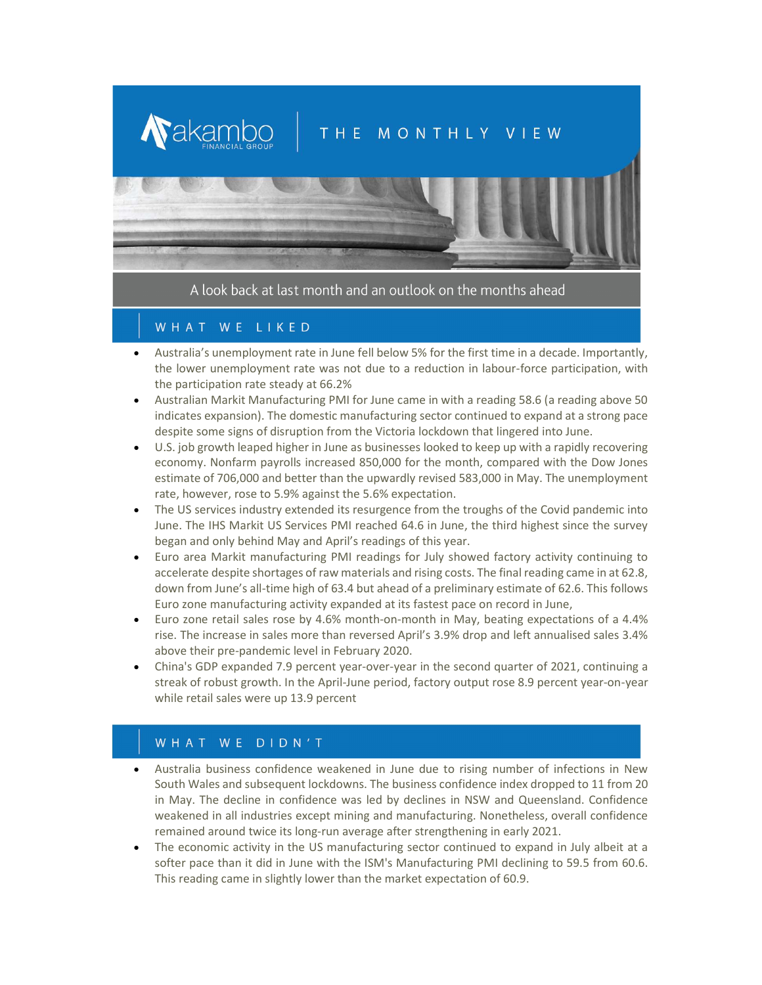# THE MONTHLY VIEW



A look back at last month and an outlook on the months ahead

#### WHAT WE LIKED

Nakambo

- Australia's unemployment rate in June fell below 5% for the first time in a decade. Importantly, the lower unemployment rate was not due to a reduction in labour-force participation, with the participation rate steady at 66.2%
- Australian Markit Manufacturing PMI for June came in with a reading 58.6 (a reading above 50 indicates expansion). The domestic manufacturing sector continued to expand at a strong pace despite some signs of disruption from the Victoria lockdown that lingered into June.
- U.S. job growth leaped higher in June as businesses looked to keep up with a rapidly recovering economy. Nonfarm payrolls increased 850,000 for the month, compared with the Dow Jones estimate of 706,000 and better than the upwardly revised 583,000 in May. The unemployment rate, however, rose to 5.9% against the 5.6% expectation.
- The US services industry extended its resurgence from the troughs of the Covid pandemic into June. The IHS Markit US Services PMI reached 64.6 in June, the third highest since the survey began and only behind May and April's readings of this year.
- Euro area Markit manufacturing PMI readings for July showed factory activity continuing to accelerate despite shortages of raw materials and rising costs. The final reading came in at 62.8, down from June's all-time high of 63.4 but ahead of a preliminary estimate of 62.6. This follows Euro zone manufacturing activity expanded at its fastest pace on record in June,
- Euro zone retail sales rose by 4.6% month-on-month in May, beating expectations of a 4.4% rise. The increase in sales more than reversed April's 3.9% drop and left annualised sales 3.4% above their pre-pandemic level in February 2020.
- China's GDP expanded 7.9 percent year-over-year in the second quarter of 2021, continuing a streak of robust growth. In the April-June period, factory output rose 8.9 percent year-on-year while retail sales were up 13.9 percent

### WHAT WE DIDN'T

- Australia business confidence weakened in June due to rising number of infections in New South Wales and subsequent lockdowns. The business confidence index dropped to 11 from 20 in May. The decline in confidence was led by declines in NSW and Queensland. Confidence weakened in all industries except mining and manufacturing. Nonetheless, overall confidence remained around twice its long-run average after strengthening in early 2021.
- The economic activity in the US manufacturing sector continued to expand in July albeit at a softer pace than it did in June with the ISM's Manufacturing PMI declining to 59.5 from 60.6. This reading came in slightly lower than the market expectation of 60.9.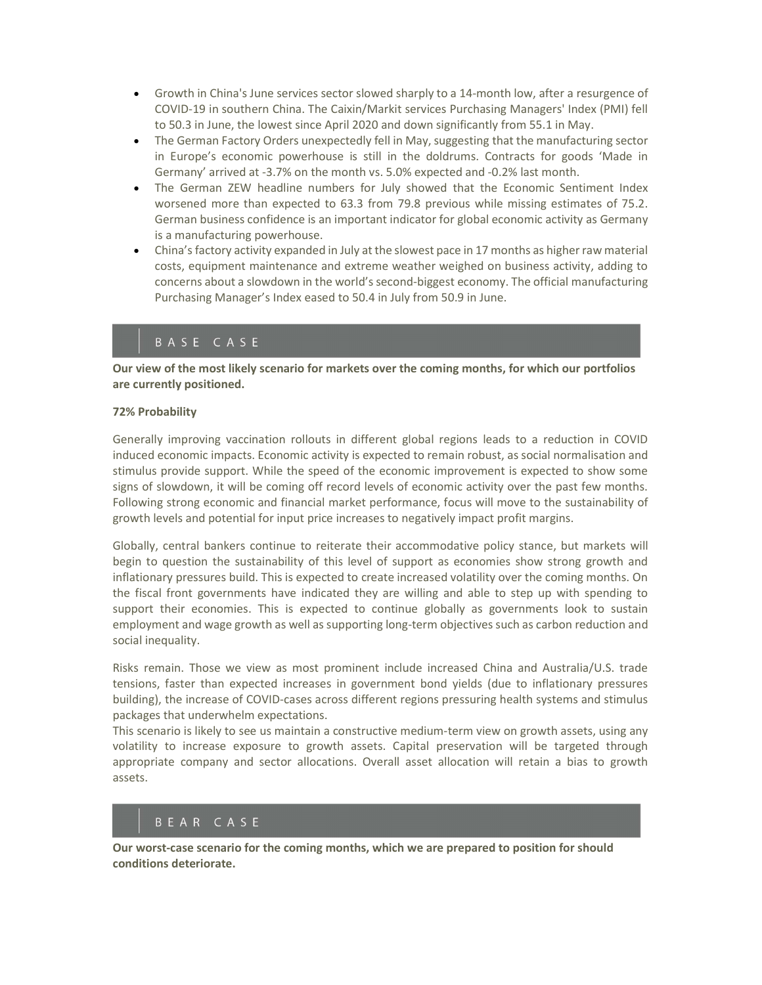- Growth in China's June services sector slowed sharply to a 14-month low, after a resurgence of COVID-19 in southern China. The Caixin/Markit services Purchasing Managers' Index (PMI) fell to 50.3 in June, the lowest since April 2020 and down significantly from 55.1 in May.
- The German Factory Orders unexpectedly fell in May, suggesting that the manufacturing sector in Europe's economic powerhouse is still in the doldrums. Contracts for goods 'Made in Germany' arrived at -3.7% on the month vs. 5.0% expected and -0.2% last month.
- The German ZEW headline numbers for July showed that the Economic Sentiment Index worsened more than expected to 63.3 from 79.8 previous while missing estimates of 75.2. German business confidence is an important indicator for global economic activity as Germany is a manufacturing powerhouse.
- China's factory activity expanded in July at the slowest pace in 17 months as higher raw material costs, equipment maintenance and extreme weather weighed on business activity, adding to concerns about a slowdown in the world's second-biggest economy. The official manufacturing Purchasing Manager's Index eased to 50.4 in July from 50.9 in June.

#### BASE CASE

Our view of the most likely scenario for markets over the coming months, for which our portfolios are currently positioned.

#### 72% Probability

Generally improving vaccination rollouts in different global regions leads to a reduction in COVID induced economic impacts. Economic activity is expected to remain robust, as social normalisation and stimulus provide support. While the speed of the economic improvement is expected to show some signs of slowdown, it will be coming off record levels of economic activity over the past few months. Following strong economic and financial market performance, focus will move to the sustainability of growth levels and potential for input price increases to negatively impact profit margins.

Globally, central bankers continue to reiterate their accommodative policy stance, but markets will begin to question the sustainability of this level of support as economies show strong growth and inflationary pressures build. This is expected to create increased volatility over the coming months. On the fiscal front governments have indicated they are willing and able to step up with spending to support their economies. This is expected to continue globally as governments look to sustain employment and wage growth as well as supporting long-term objectives such as carbon reduction and social inequality.

Risks remain. Those we view as most prominent include increased China and Australia/U.S. trade tensions, faster than expected increases in government bond yields (due to inflationary pressures building), the increase of COVID-cases across different regions pressuring health systems and stimulus packages that underwhelm expectations.

This scenario is likely to see us maintain a constructive medium-term view on growth assets, using any volatility to increase exposure to growth assets. Capital preservation will be targeted through appropriate company and sector allocations. Overall asset allocation will retain a bias to growth assets.

## BEAR CASE

Our worst-case scenario for the coming months, which we are prepared to position for should conditions deteriorate.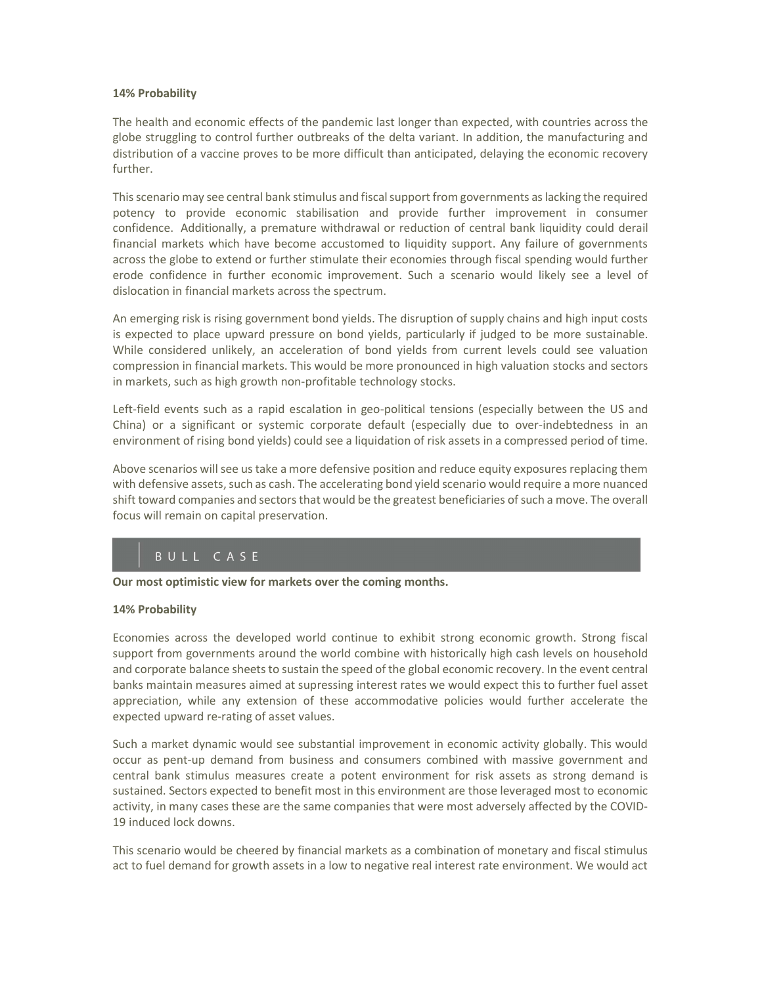#### 14% Probability

The health and economic effects of the pandemic last longer than expected, with countries across the globe struggling to control further outbreaks of the delta variant. In addition, the manufacturing and distribution of a vaccine proves to be more difficult than anticipated, delaying the economic recovery further.

This scenario may see central bank stimulus and fiscal support from governments as lacking the required potency to provide economic stabilisation and provide further improvement in consumer confidence. Additionally, a premature withdrawal or reduction of central bank liquidity could derail financial markets which have become accustomed to liquidity support. Any failure of governments across the globe to extend or further stimulate their economies through fiscal spending would further erode confidence in further economic improvement. Such a scenario would likely see a level of dislocation in financial markets across the spectrum.

An emerging risk is rising government bond yields. The disruption of supply chains and high input costs is expected to place upward pressure on bond yields, particularly if judged to be more sustainable. While considered unlikely, an acceleration of bond yields from current levels could see valuation compression in financial markets. This would be more pronounced in high valuation stocks and sectors in markets, such as high growth non-profitable technology stocks.

Left-field events such as a rapid escalation in geo-political tensions (especially between the US and China) or a significant or systemic corporate default (especially due to over-indebtedness in an environment of rising bond yields) could see a liquidation of risk assets in a compressed period of time.

Above scenarios will see us take a more defensive position and reduce equity exposures replacing them with defensive assets, such as cash. The accelerating bond yield scenario would require a more nuanced shift toward companies and sectors that would be the greatest beneficiaries of such a move. The overall focus will remain on capital preservation.

# BULL CASE

Our most optimistic view for markets over the coming months.

#### 14% Probability

Economies across the developed world continue to exhibit strong economic growth. Strong fiscal support from governments around the world combine with historically high cash levels on household and corporate balance sheets to sustain the speed of the global economic recovery. In the event central banks maintain measures aimed at supressing interest rates we would expect this to further fuel asset appreciation, while any extension of these accommodative policies would further accelerate the expected upward re-rating of asset values.

Such a market dynamic would see substantial improvement in economic activity globally. This would occur as pent-up demand from business and consumers combined with massive government and central bank stimulus measures create a potent environment for risk assets as strong demand is sustained. Sectors expected to benefit most in this environment are those leveraged most to economic activity, in many cases these are the same companies that were most adversely affected by the COVID-19 induced lock downs.

This scenario would be cheered by financial markets as a combination of monetary and fiscal stimulus act to fuel demand for growth assets in a low to negative real interest rate environment. We would act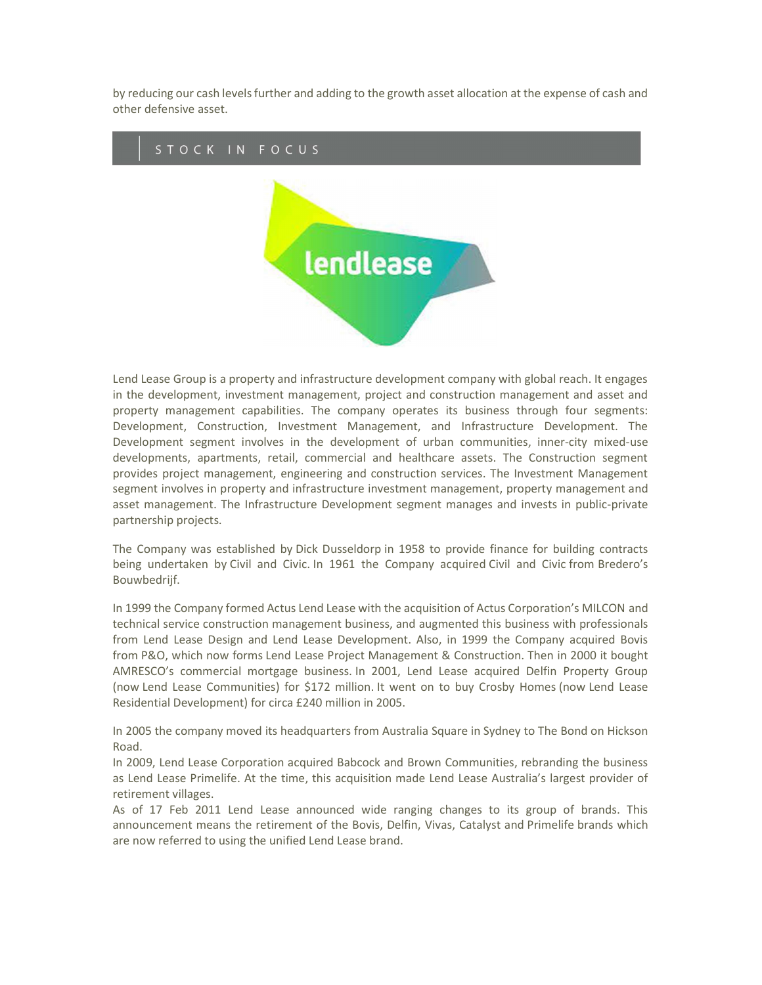by reducing our cash levels further and adding to the growth asset allocation at the expense of cash and other defensive asset.

# STOCK IN FOCUS lendlease

Lend Lease Group is a property and infrastructure development company with global reach. It engages in the development, investment management, project and construction management and asset and property management capabilities. The company operates its business through four segments: Development, Construction, Investment Management, and Infrastructure Development. The Development segment involves in the development of urban communities, inner-city mixed-use developments, apartments, retail, commercial and healthcare assets. The Construction segment provides project management, engineering and construction services. The Investment Management segment involves in property and infrastructure investment management, property management and asset management. The Infrastructure Development segment manages and invests in public-private partnership projects.

The Company was established by Dick Dusseldorp in 1958 to provide finance for building contracts being undertaken by Civil and Civic. In 1961 the Company acquired Civil and Civic from Bredero's Bouwbedrijf.

In 1999 the Company formed Actus Lend Lease with the acquisition of Actus Corporation's MILCON and technical service construction management business, and augmented this business with professionals from Lend Lease Design and Lend Lease Development. Also, in 1999 the Company acquired Bovis from P&O, which now forms Lend Lease Project Management & Construction. Then in 2000 it bought AMRESCO's commercial mortgage business. In 2001, Lend Lease acquired Delfin Property Group (now Lend Lease Communities) for \$172 million. It went on to buy Crosby Homes (now Lend Lease Residential Development) for circa £240 million in 2005.

In 2005 the company moved its headquarters from Australia Square in Sydney to The Bond on Hickson Road.

In 2009, Lend Lease Corporation acquired Babcock and Brown Communities, rebranding the business as Lend Lease Primelife. At the time, this acquisition made Lend Lease Australia's largest provider of retirement villages.

As of 17 Feb 2011 Lend Lease announced wide ranging changes to its group of brands. This announcement means the retirement of the Bovis, Delfin, Vivas, Catalyst and Primelife brands which are now referred to using the unified Lend Lease brand.